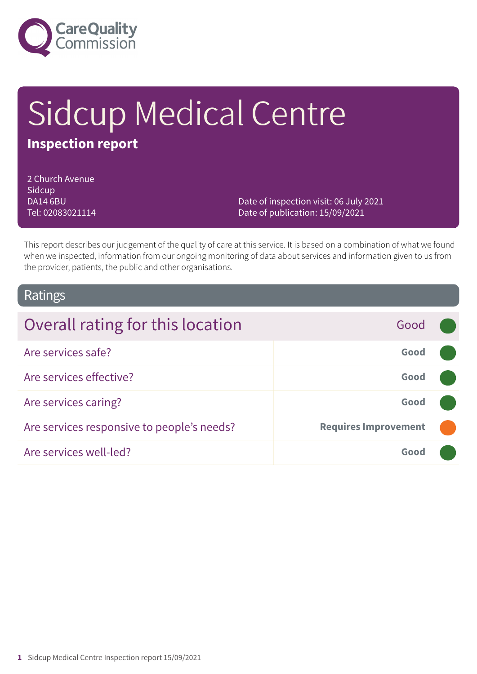

# Sidcup Medical Centre

# **Inspection report**

2 Church Avenue **Sidcup** DA14 6BU Tel: 02083021114

Date of inspection visit: 06 July 2021 Date of publication: 15/09/2021

This report describes our judgement of the quality of care at this service. It is based on a combination of what we found when we inspected, information from our ongoing monitoring of data about services and information given to us from the provider, patients, the public and other organisations.

### Ratings

| Overall rating for this location           | Good                        |  |
|--------------------------------------------|-----------------------------|--|
| Are services safe?                         | Good                        |  |
| Are services effective?                    | Good                        |  |
| Are services caring?                       | Good                        |  |
| Are services responsive to people's needs? | <b>Requires Improvement</b> |  |
| Are services well-led?                     | Good                        |  |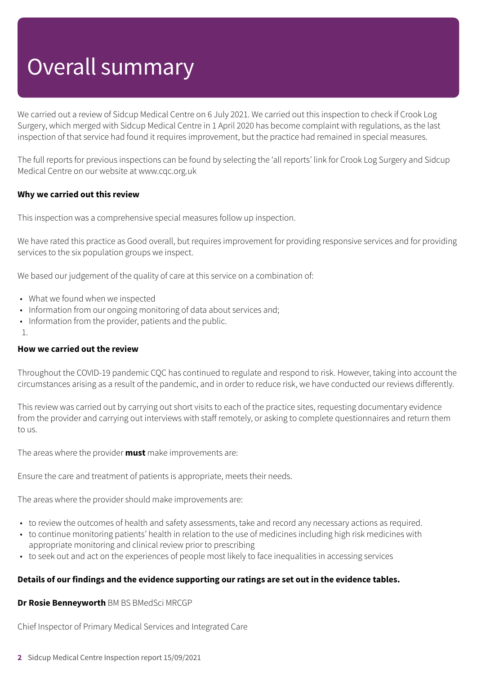# Overall summary

We carried out a review of Sidcup Medical Centre on 6 July 2021. We carried out this inspection to check if Crook Log Surgery, which merged with Sidcup Medical Centre in 1 April 2020 has become complaint with regulations, as the last inspection of that service had found it requires improvement, but the practice had remained in special measures.

The full reports for previous inspections can be found by selecting the 'all reports' link for Crook Log Surgery and Sidcup Medical Centre on our website at www.cqc.org.uk

#### **Why we carried out this review**

This inspection was a comprehensive special measures follow up inspection.

We have rated this practice as Good overall, but requires improvement for providing responsive services and for providing services to the six population groups we inspect.

We based our judgement of the quality of care at this service on a combination of:

- What we found when we inspected
- Information from our ongoing monitoring of data about services and;
- Information from the provider, patients and the public.
- 1.

#### **How we carried out the review**

Throughout the COVID-19 pandemic CQC has continued to regulate and respond to risk. However, taking into account the circumstances arising as a result of the pandemic, and in order to reduce risk, we have conducted our reviews differently.

This review was carried out by carrying out short visits to each of the practice sites, requesting documentary evidence from the provider and carrying out interviews with staff remotely, or asking to complete questionnaires and return them to us.

The areas where the provider **must** make improvements are:

Ensure the care and treatment of patients is appropriate, meets their needs.

The areas where the provider should make improvements are:

- to review the outcomes of health and safety assessments, take and record any necessary actions as required.
- to continue monitoring patients' health in relation to the use of medicines including high risk medicines with appropriate monitoring and clinical review prior to prescribing
- to seek out and act on the experiences of people most likely to face inequalities in accessing services

#### **Details of our findings and the evidence supporting our ratings are set out in the evidence tables.**

**Dr Rosie Benneyworth** BM BS BMedSci MRCGP

Chief Inspector of Primary Medical Services and Integrated Care

**2** Sidcup Medical Centre Inspection report 15/09/2021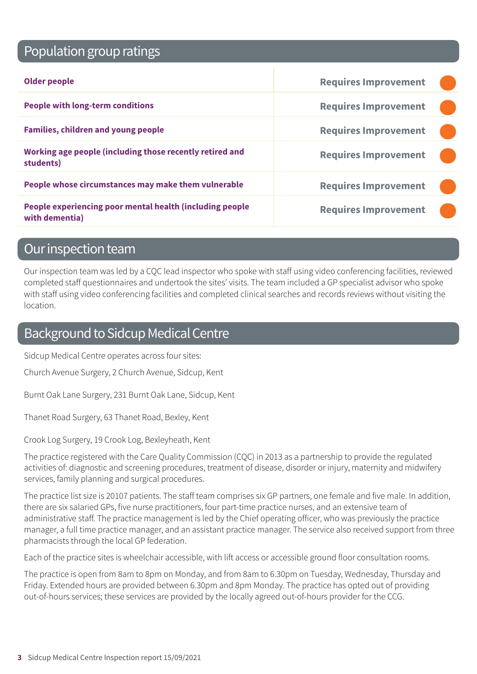# Population group ratings

| <b>Older people</b>                                                        | <b>Requires Improvement</b> |  |
|----------------------------------------------------------------------------|-----------------------------|--|
| <b>People with long-term conditions</b>                                    | <b>Requires Improvement</b> |  |
| <b>Families, children and young people</b>                                 | <b>Requires Improvement</b> |  |
| Working age people (including those recently retired and<br>students)      | <b>Requires Improvement</b> |  |
| People whose circumstances may make them vulnerable                        | <b>Requires Improvement</b> |  |
| People experiencing poor mental health (including people<br>with dementia) | <b>Requires Improvement</b> |  |

## Our inspection team

Our inspection team was led by a CQC lead inspector who spoke with staff using video conferencing facilities, reviewed completed staff questionnaires and undertook the sites' visits. The team included a GP specialist advisor who spoke with staff using video conferencing facilities and completed clinical searches and records reviews without visiting the location.

## Background to Sidcup Medical Centre

Sidcup Medical Centre operates across four sites:

Church Avenue Surgery, 2 Church Avenue, Sidcup, Kent

Burnt Oak Lane Surgery, 231 Burnt Oak Lane, Sidcup, Kent

Thanet Road Surgery, 63 Thanet Road, Bexley, Kent

Crook Log Surgery, 19 Crook Log, Bexleyheath, Kent

The practice registered with the Care Quality Commission (CQC) in 2013 as a partnership to provide the regulated activities of: diagnostic and screening procedures, treatment of disease, disorder or injury, maternity and midwifery services, family planning and surgical procedures.

The practice list size is 20107 patients. The staff team comprises six GP partners, one female and five male. In addition, there are six salaried GPs, five nurse practitioners, four part-time practice nurses, and an extensive team of administrative staff. The practice management is led by the Chief operating officer, who was previously the practice manager, a full time practice manager, and an assistant practice manager. The service also received support from three pharmacists through the local GP federation.

Each of the practice sites is wheelchair accessible, with lift access or accessible ground floor consultation rooms.

The practice is open from 8am to 8pm on Monday, and from 8am to 6.30pm on Tuesday, Wednesday, Thursday and Friday. Extended hours are provided between 6.30pm and 8pm Monday. The practice has opted out of providing out-of-hours services; these services are provided by the locally agreed out-of-hours provider for the CCG.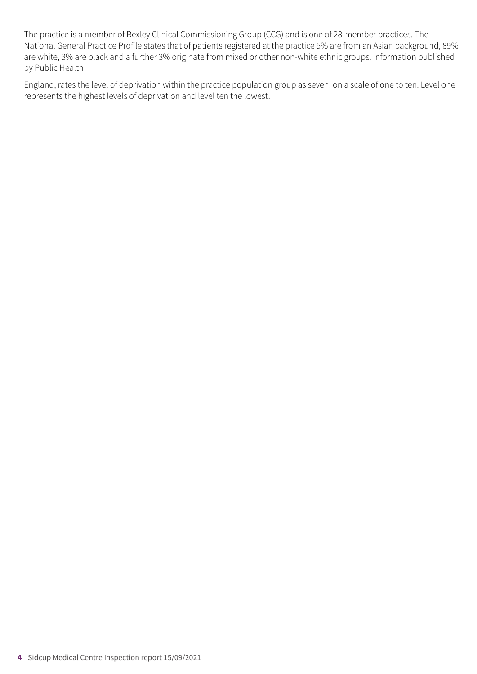The practice is a member of Bexley Clinical Commissioning Group (CCG) and is one of 28-member practices. The National General Practice Profile states that of patients registered at the practice 5% are from an Asian background, 89% are white, 3% are black and a further 3% originate from mixed or other non-white ethnic groups. Information published by Public Health

England, rates the level of deprivation within the practice population group as seven, on a scale of one to ten. Level one represents the highest levels of deprivation and level ten the lowest.